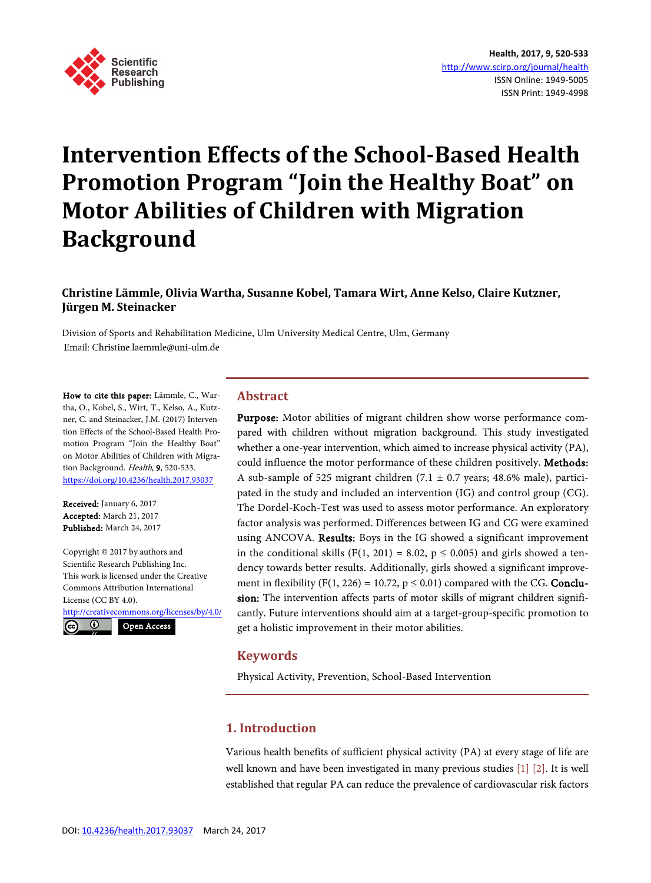

# **Intervention Effects of the School-Based Health Promotion Program "Join the Healthy Boat" on Motor Abilities of Children with Migration Background**

**Christine Lämmle, Olivia Wartha, Susanne Kobel, Tamara Wirt, Anne Kelso, Claire Kutzner, Jürgen M. Steinacker**

Division of Sports and Rehabilitation Medicine, Ulm University Medical Centre, Ulm, Germany Email: Christine.laemmle@uni-ulm.de

How to cite this paper: Lämmle, C., Wartha, O., Kobel, S., Wirt, T., Kelso, A., Kutzner, C. and Steinacker, J.M. (2017) Intervention Effects of the School-Based Health Promotion Program "Join the Healthy Boat" on Motor Abilities of Children with Migration Background. Health, 9, 520-533. <https://doi.org/10.4236/health.2017.93037>

Received: January 6, 2017 Accepted: March 21, 2017 Published: March 24, 2017

Copyright © 2017 by authors and Scientific Research Publishing Inc. This work is licensed under the Creative Commons Attribution International License (CC BY 4.0). <http://creativecommons.org/licenses/by/4.0/>

 $(cc)$  $\odot$ 

Open Access

# **Abstract**

Purpose: Motor abilities of migrant children show worse performance compared with children without migration background. This study investigated whether a one-year intervention, which aimed to increase physical activity (PA), could influence the motor performance of these children positively. Methods: A sub-sample of 525 migrant children (7.1  $\pm$  0.7 years; 48.6% male), participated in the study and included an intervention (IG) and control group (CG). The Dordel-Koch-Test was used to assess motor performance. An exploratory factor analysis was performed. Differences between IG and CG were examined using ANCOVA. Results: Boys in the IG showed a significant improvement in the conditional skills (F(1, 201) = 8.02,  $p \le 0.005$ ) and girls showed a tendency towards better results. Additionally, girls showed a significant improvement in flexibility (F(1, 226) = 10.72,  $p \le 0.01$ ) compared with the CG. **Conclu**sion: The intervention affects parts of motor skills of migrant children significantly. Future interventions should aim at a target-group-specific promotion to get a holistic improvement in their motor abilities.

# **Keywords**

Physical Activity, Prevention, School-Based Intervention

# **1. Introduction**

Various health benefits of sufficient physical activity (PA) at every stage of life are well known and have been investigated in many previous studies [\[1\]](#page-10-0) [\[2\].](#page-10-1) It is well established that regular PA can reduce the prevalence of cardiovascular risk factors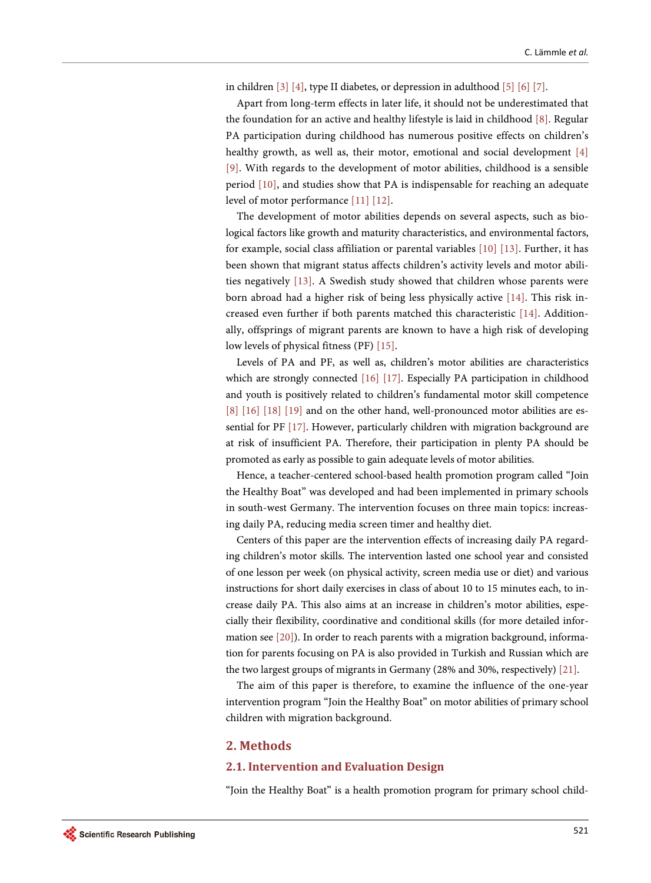in children [\[3\]](#page-10-2) [\[4\],](#page-10-3) type II diabetes, or depression in adulthoo[d \[5\]](#page-10-4) [\[6\]](#page-10-5) [\[7\].](#page-10-6) 

Apart from long-term effects in later life, it should not be underestimated that the foundation for an active and healthy lifestyle is laid in childhood [\[8\].](#page-10-7) Regular PA participation during childhood has numerous positive effects on children's healthy growth, as well as, their motor, emotional and social development [\[4\]](#page-10-3) [\[9\].](#page-10-8) With regards to the development of motor abilities, childhood is a sensible period [\[10\],](#page-10-9) and studies show that PA is indispensable for reaching an adequate level of motor performance [\[11\]](#page-10-10) [\[12\].](#page-10-11) 

The development of motor abilities depends on several aspects, such as biological factors like growth and maturity characteristics, and environmental factors, for example, social class affiliation or parental variables [\[10\]](#page-10-9) [\[13\].](#page-11-0) Further, it has been shown that migrant status affects children's activity levels and motor abilities negatively [\[13\].](#page-11-0) A Swedish study showed that children whose parents were born abroad had a higher risk of being less physically active [\[14\].](#page-11-1) This risk increased even further if both parents matched this characteristic [\[14\].](#page-11-1) Additionally, offsprings of migrant parents are known to have a high risk of developing low levels of physical fitness (PF) [\[15\].](#page-11-2)

Levels of PA and PF, as well as, children's motor abilities are characteristics which are strongly connected [\[16\]](#page-11-3) [\[17\].](#page-11-4) Especially PA participation in childhood and youth is positively related to children's fundamental motor skill competence [\[8\]](#page-10-7) [\[16\]](#page-11-3) [\[18\]](#page-11-5) [\[19\]](#page-11-6) and on the other hand, well-pronounced motor abilities are essential for PF [\[17\].](#page-11-4) However, particularly children with migration background are at risk of insufficient PA. Therefore, their participation in plenty PA should be promoted as early as possible to gain adequate levels of motor abilities.

Hence, a teacher-centered school-based health promotion program called "Join the Healthy Boat" was developed and had been implemented in primary schools in south-west Germany. The intervention focuses on three main topics: increasing daily PA, reducing media screen timer and healthy diet.

Centers of this paper are the intervention effects of increasing daily PA regarding children's motor skills. The intervention lasted one school year and consisted of one lesson per week (on physical activity, screen media use or diet) and various instructions for short daily exercises in class of about 10 to 15 minutes each, to increase daily PA. This also aims at an increase in children's motor abilities, especially their flexibility, coordinative and conditional skills (for more detailed information se[e \[20\]\)](#page-11-7). In order to reach parents with a migration background, information for parents focusing on PA is also provided in Turkish and Russian which are the two largest groups of migrants in Germany (28% and 30%, respectively) [\[21\].](#page-11-8)

The aim of this paper is therefore, to examine the influence of the one-year intervention program "Join the Healthy Boat" on motor abilities of primary school children with migration background.

# **2. Methods**

#### **2.1. Intervention and Evaluation Design**

"Join the Healthy Boat" is a health promotion program for primary school child-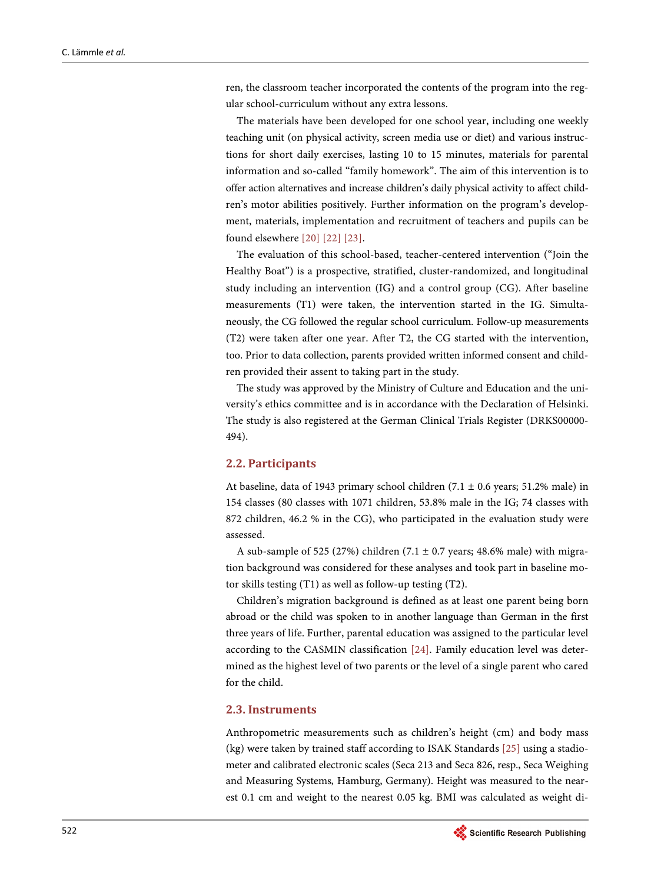ren, the classroom teacher incorporated the contents of the program into the regular school-curriculum without any extra lessons.

The materials have been developed for one school year, including one weekly teaching unit (on physical activity, screen media use or diet) and various instructions for short daily exercises, lasting 10 to 15 minutes, materials for parental information and so-called "family homework". The aim of this intervention is to offer action alternatives and increase children's daily physical activity to affect children's motor abilities positively. Further information on the program's development, materials, implementation and recruitment of teachers and pupils can be found elsewhere [\[20\]](#page-11-7) [\[22\]](#page-11-9) [\[23\].](#page-11-10)

The evaluation of this school-based, teacher-centered intervention ("Join the Healthy Boat") is a prospective, stratified, cluster-randomized, and longitudinal study including an intervention (IG) and a control group (CG). After baseline measurements (T1) were taken, the intervention started in the IG. Simultaneously, the CG followed the regular school curriculum. Follow-up measurements (T2) were taken after one year. After T2, the CG started with the intervention, too. Prior to data collection, parents provided written informed consent and children provided their assent to taking part in the study.

The study was approved by the Ministry of Culture and Education and the university's ethics committee and is in accordance with the Declaration of Helsinki. The study is also registered at the German Clinical Trials Register (DRKS00000- 494).

#### **2.2. Participants**

At baseline, data of 1943 primary school children  $(7.1 \pm 0.6$  years; 51.2% male) in 154 classes (80 classes with 1071 children, 53.8% male in the IG; 74 classes with 872 children, 46.2 % in the CG), who participated in the evaluation study were assessed.

A sub-sample of 525 (27%) children (7.1  $\pm$  0.7 years; 48.6% male) with migration background was considered for these analyses and took part in baseline motor skills testing (T1) as well as follow-up testing (T2).

Children's migration background is defined as at least one parent being born abroad or the child was spoken to in another language than German in the first three years of life. Further, parental education was assigned to the particular level according to the CASMIN classification [\[24\].](#page-11-11) Family education level was determined as the highest level of two parents or the level of a single parent who cared for the child.

# **2.3. Instruments**

Anthropometric measurements such as children's height (cm) and body mass (kg) were taken by trained staff according to ISAK Standards [\[25\]](#page-11-12) using a stadiometer and calibrated electronic scales (Seca 213 and Seca 826, resp., Seca Weighing and Measuring Systems, Hamburg, Germany). Height was measured to the nearest 0.1 cm and weight to the nearest 0.05 kg. BMI was calculated as weight di-

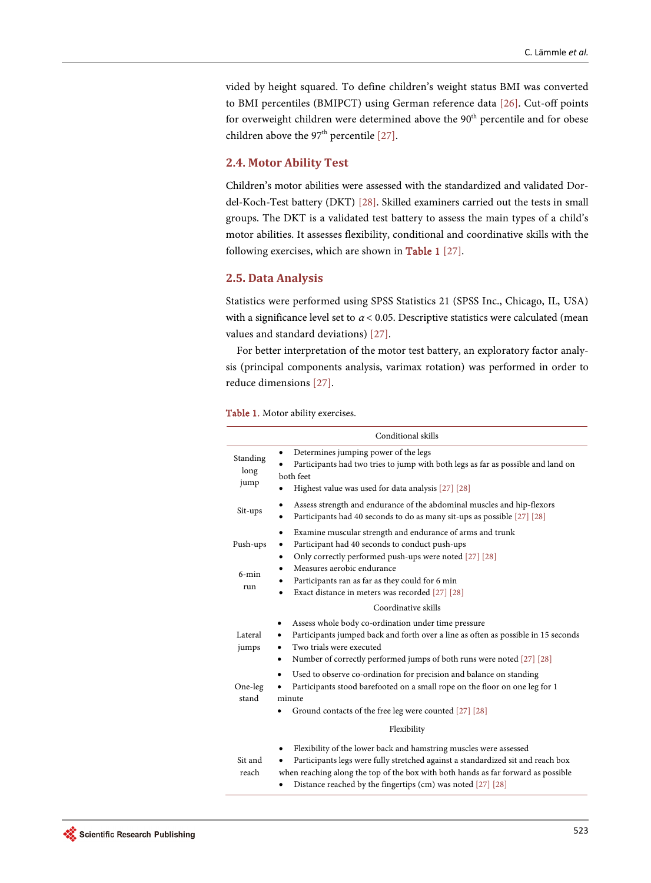vided by height squared. To define children's weight status BMI was converted to BMI percentiles (BMIPCT) using German reference data [\[26\].](#page-11-13) Cut-off points for overweight children were determined above the 90<sup>th</sup> percentile and for obese children above the  $97<sup>th</sup>$  percentile [\[27\].](#page-12-0)

# **2.4. Motor Ability Test**

Children's motor abilities were assessed with the standardized and validated Dordel-Koch-Test battery (DKT) [\[28\].](#page-12-1) Skilled examiners carried out the tests in small groups. The DKT is a validated test battery to assess the main types of a child's motor abilities. It assesses flexibility, conditional and coordinative skills with the following exercises, which are shown in [Table 1](#page-3-0) [\[27\].](#page-12-0)

#### **2.5. Data Analysis**

Statistics were performed using SPSS Statistics 21 (SPSS Inc., Chicago, IL, USA) with a significance level set to  $\alpha$  < 0.05. Descriptive statistics were calculated (mean values and standard deviations) [\[27\].](#page-12-0)

For better interpretation of the motor test battery, an exploratory factor analysis (principal components analysis, varimax rotation) was performed in order to reduce dimensions [\[27\].](#page-12-0)

<span id="page-3-0"></span>

|  |  |  |  | <b>Table 1.</b> Motor ability exercises. |
|--|--|--|--|------------------------------------------|
|--|--|--|--|------------------------------------------|

|                             | Conditional skills                                                                                                                                                                                                                                                                                                            |
|-----------------------------|-------------------------------------------------------------------------------------------------------------------------------------------------------------------------------------------------------------------------------------------------------------------------------------------------------------------------------|
| Standing<br>long<br>jump    | Determines jumping power of the legs<br>٠<br>Participants had two tries to jump with both legs as far as possible and land on<br>both feet<br>Highest value was used for data analysis [27] [28]                                                                                                                              |
| Sit-ups                     | Assess strength and endurance of the abdominal muscles and hip-flexors<br>٠<br>Participants had 40 seconds to do as many sit-ups as possible [27] [28]                                                                                                                                                                        |
| Push-ups<br>$6$ -min<br>run | Examine muscular strength and endurance of arms and trunk<br>٠<br>Participant had 40 seconds to conduct push-ups<br>٠<br>Only correctly performed push-ups were noted [27] [28]<br>٠<br>Measures aerobic endurance<br>٠<br>Participants ran as far as they could for 6 min<br>Exact distance in meters was recorded [27] [28] |
|                             | Coordinative skills                                                                                                                                                                                                                                                                                                           |
| Lateral<br>jumps            | Assess whole body co-ordination under time pressure<br>٠<br>Participants jumped back and forth over a line as often as possible in 15 seconds<br>٠<br>Two trials were executed<br>٠<br>Number of correctly performed jumps of both runs were noted [27] [28]<br>٠                                                             |
| One-leg<br>stand            | Used to observe co-ordination for precision and balance on standing<br>Participants stood barefooted on a small rope on the floor on one leg for 1<br>minute<br>Ground contacts of the free leg were counted [27] [28]                                                                                                        |
|                             | Flexibility                                                                                                                                                                                                                                                                                                                   |
| Sit and<br>reach            | Flexibility of the lower back and hamstring muscles were assessed<br>Participants legs were fully stretched against a standardized sit and reach box<br>٠<br>when reaching along the top of the box with both hands as far forward as possible<br>Distance reached by the fingertips (cm) was noted [27] [28]                 |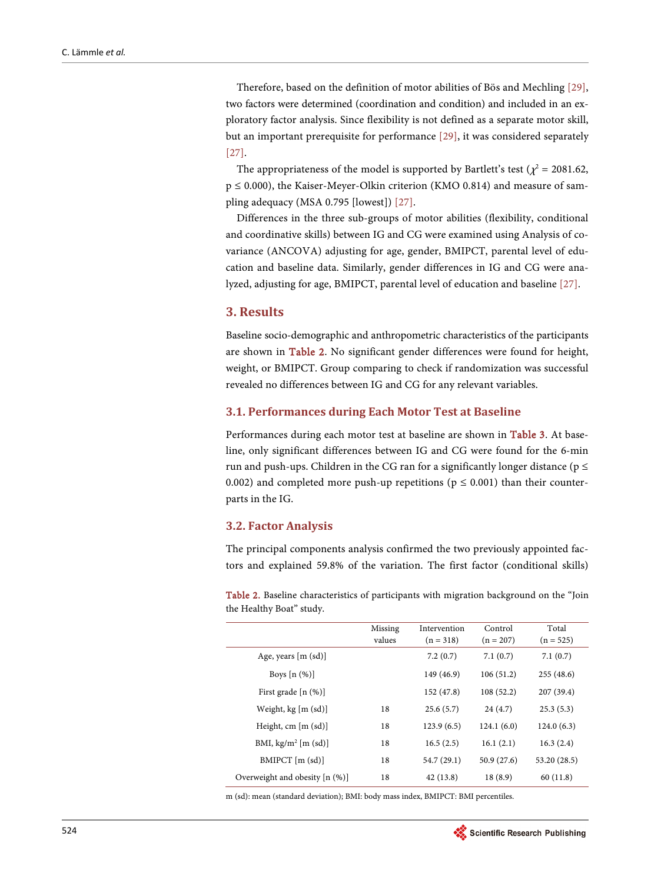Therefore, based on the definition of motor abilities of Bös and Mechling [\[29\],](#page-12-2)  two factors were determined (coordination and condition) and included in an exploratory factor analysis. Since flexibility is not defined as a separate motor skill, but an important prerequisite for performance [\[29\],](#page-12-2) it was considered separately [\[27\].](#page-12-0)

The appropriateness of the model is supported by Bartlett's test ( $\chi^2$  = 2081.62, p ≤ 0.000), the Kaiser-Meyer-Olkin criterion (KMO 0.814) and measure of sampling adequacy (MSA 0.795 [lowest]) [\[27\].](#page-12-0)

Differences in the three sub-groups of motor abilities (flexibility, conditional and coordinative skills) between IG and CG were examined using Analysis of covariance (ANCOVA) adjusting for age, gender, BMIPCT, parental level of education and baseline data. Similarly, gender differences in IG and CG were analyzed, adjusting for age, BMIPCT, parental level of education and baseline [\[27\].](#page-12-0)

#### **3. Results**

Baseline socio-demographic and anthropometric characteristics of the participants are shown in [Table 2.](#page-4-0) No significant gender differences were found for height, weight, or BMIPCT. Group comparing to check if randomization was successful revealed no differences between IG and CG for any relevant variables.

## **3.1. Performances during Each Motor Test at Baseline**

Performances during each motor test at baseline are shown in [Table 3.](#page-5-0) At baseline, only significant differences between IG and CG were found for the 6-min run and push-ups. Children in the CG ran for a significantly longer distance ( $p \le$ 0.002) and completed more push-up repetitions ( $p \le 0.001$ ) than their counterparts in the IG.

#### **3.2. Factor Analysis**

The principal components analysis confirmed the two previously appointed factors and explained 59.8% of the variation. The first factor (conditional skills)

<span id="page-4-0"></span>Table 2. Baseline characteristics of participants with migration background on the "Join the Healthy Boat" study.

|                                | Missing<br>values | Intervention<br>$(n = 318)$ | Control<br>$(n = 207)$ | Total<br>$(n = 525)$ |
|--------------------------------|-------------------|-----------------------------|------------------------|----------------------|
| Age, years $[m (sd)]$          |                   | 7.2(0.7)                    | 7.1(0.7)               | 7.1(0.7)             |
| Boys $[n (%)]$                 |                   | 149 (46.9)                  | 106(51.2)              | 255(48.6)            |
| First grade $[n (%)]$          |                   | 152 (47.8)                  | 108(52.2)              | 207(39.4)            |
| Weight, kg [m (sd)]            | 18                | 25.6(5.7)                   | 24(4.7)                | 25.3(5.3)            |
| Height, cm $[m (sd)]$          | 18                | 123.9(6.5)                  | 124.1(6.0)             | 124.0(6.3)           |
| BMI, $kg/m^2$ [m (sd)]         | 18                | 16.5(2.5)                   | 16.1(2.1)              | 16.3(2.4)            |
| $BMIPCT$ [m $(sd)$ ]           | 18                | 54.7 (29.1)                 | 50.9(27.6)             | 53.20 (28.5)         |
| Overweight and obesity [n (%)] | 18                | 42(13.8)                    | 18(8.9)                | 60(11.8)             |

m (sd): mean (standard deviation); BMI: body mass index, BMIPCT: BMI percentiles.

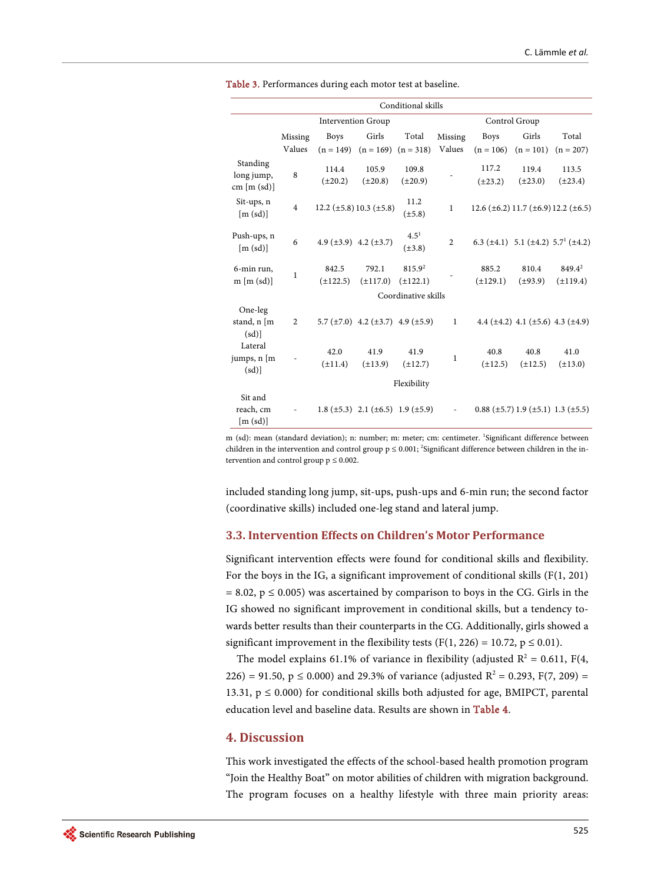| Conditional skills                    |                           |                                 |                                                    |                          |                |                        |                                                 |                                                                 |  |
|---------------------------------------|---------------------------|---------------------------------|----------------------------------------------------|--------------------------|----------------|------------------------|-------------------------------------------------|-----------------------------------------------------------------|--|
|                                       | <b>Intervention Group</b> |                                 |                                                    |                          | Control Group  |                        |                                                 |                                                                 |  |
|                                       | Missing                   | <b>Boys</b>                     | Girls                                              | Total                    | Missing        | <b>Boys</b>            | Girls                                           | Total                                                           |  |
|                                       | Values                    |                                 | $(n = 149)$ $(n = 169)$ $(n = 318)$                |                          | Values         | $(n = 106)$            | $(n = 101)$                                     | $(n = 207)$                                                     |  |
| Standing<br>long jump,<br>cm [m (sd)] | 8                         | 114.4<br>$(\pm 20.2)$           | 105.9<br>$(\pm 20.8)$                              | 109.8<br>$(\pm 20.9)$    |                | 117.2<br>$(\pm 23.2)$  | 119.4<br>$(\pm 23.0)$                           | 113.5<br>$(\pm 23.4)$                                           |  |
| Sit-ups, n<br>[m (sd)]                | $\overline{4}$            |                                 | 12.2 ( $\pm$ 5.8) 10.3 ( $\pm$ 5.8)                | 11.2<br>$(\pm 5.8)$      | $\mathbf{1}$   |                        |                                                 | $12.6 \ (\pm 6.2) \ 11.7 \ (\pm 6.9) \ 12.2 \ (\pm 6.5)$        |  |
| Push-ups, n<br>[m (sd)]               | 6                         | 4.9 $(\pm 3.9)$ 4.2 $(\pm 3.7)$ |                                                    | $4.5^{1}$<br>$(\pm 3.8)$ | $\overline{2}$ |                        |                                                 | 6.3 ( $\pm$ 4.1) 5.1 ( $\pm$ 4.2) 5.7 <sup>1</sup> ( $\pm$ 4.2) |  |
| 6-min run,<br>$m \,[m \,(sd)]$        | $\mathbf{1}$              | 842.5<br>$(\pm 122.5)$          | 792.1<br>$(\pm 117.0)$                             | 815.92<br>$(\pm 122.1)$  |                | 885.2<br>$(\pm 129.1)$ | 810.4<br>$(\pm 93.9)$                           | 849.4 <sup>2</sup><br>$(\pm 119.4)$                             |  |
| Coordinative skills                   |                           |                                 |                                                    |                          |                |                        |                                                 |                                                                 |  |
| One-leg<br>stand, n [m<br>(sd)        | 2                         |                                 | 5.7 ( $\pm$ 7.0) 4.2 ( $\pm$ 3.7) 4.9 ( $\pm$ 5.9) |                          | $\mathbf{1}$   |                        | 4.4 $(\pm 4.2)$ 4.1 $(\pm 5.6)$ 4.3 $(\pm 4.9)$ |                                                                 |  |
| Lateral<br>jumps, n [m<br>(sd)        |                           | 42.0<br>$(\pm 11.4)$            | 41.9<br>$(\pm 13.9)$                               | 41.9<br>$(\pm 12.7)$     | 1              | 40.8<br>$(\pm 12.5)$   | 40.8<br>$(\pm 12.5)$                            | 41.0<br>$(\pm 13.0)$                                            |  |
| Flexibility                           |                           |                                 |                                                    |                          |                |                        |                                                 |                                                                 |  |
| Sit and<br>reach, cm<br>[m (sd)]      |                           |                                 | 1.8 ( $\pm$ 5.3) 2.1 ( $\pm$ 6.5) 1.9 ( $\pm$ 5.9) |                          |                |                        | $0.88$ (±5.7) 1.9 (±5.1) 1.3 (±5.5)             |                                                                 |  |

<span id="page-5-0"></span>Table 3. Performances during each motor test at baseline.

m (sd): mean (standard deviation); n: number; m: meter; cm: centimeter. <sup>1</sup>Significant difference between children in the intervention and control group  $p \leq 0.001$ ; <sup>2</sup>Significant difference between children in the intervention and control group  $p \leq 0.002$ .

included standing long jump, sit-ups, push-ups and 6-min run; the second factor (coordinative skills) included one-leg stand and lateral jump.

## **3.3. Intervention Effects on Children's Motor Performance**

Significant intervention effects were found for conditional skills and flexibility. For the boys in the IG, a significant improvement of conditional skills (F(1, 201)  $= 8.02$ ,  $p \le 0.005$ ) was ascertained by comparison to boys in the CG. Girls in the IG showed no significant improvement in conditional skills, but a tendency towards better results than their counterparts in the CG. Additionally, girls showed a significant improvement in the flexibility tests (F(1, 226) = 10.72,  $p \le 0.01$ ).

The model explains 61.1% of variance in flexibility (adjusted  $R^2 = 0.611$ , F(4, 226) = 91.50,  $p \le 0.000$ ) and 29.3% of variance (adjusted  $R^2 = 0.293$ ,  $F(7, 209) =$ 13.31,  $p \le 0.000$ ) for conditional skills both adjusted for age, BMIPCT, parental education level and baseline data. Results are shown in [Table 4.](#page-6-0)

# **4. Discussion**

This work investigated the effects of the school-based health promotion program "Join the Healthy Boat" on motor abilities of children with migration background. The program focuses on a healthy lifestyle with three main priority areas: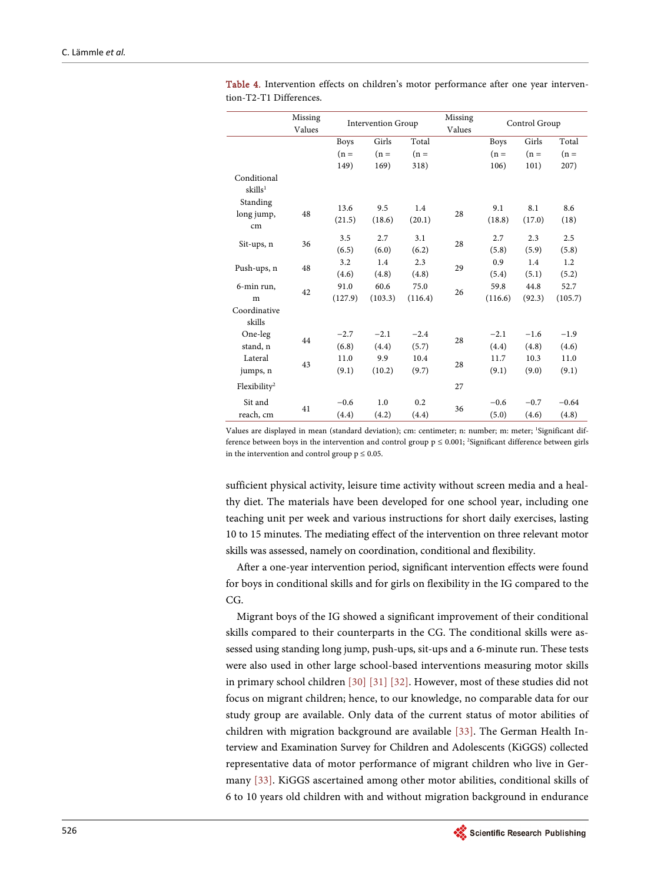|                          | Missing<br>Values | <b>Intervention Group</b> |         | Missing<br>Values | Control Group |             |        |         |
|--------------------------|-------------------|---------------------------|---------|-------------------|---------------|-------------|--------|---------|
|                          |                   | <b>Boys</b>               | Girls   | Total             |               | <b>Boys</b> | Girls  | Total   |
|                          |                   | $(n =$                    | $(n =$  | $(n =$            |               | $(n =$      | $(n =$ | $(n =$  |
|                          |                   | 149)                      | 169)    | 318)              |               | 106)        | 101)   | 207)    |
| Conditional              |                   |                           |         |                   |               |             |        |         |
| skills <sup>1</sup>      |                   |                           |         |                   |               |             |        |         |
| Standing                 |                   | 13.6                      | 9.5     | 1.4               |               | 9.1         | 8.1    | 8.6     |
| long jump,               | 48                | (21.5)                    | (18.6)  | (20.1)            | 28            | (18.8)      | (17.0) |         |
| cm                       |                   |                           |         |                   |               |             |        | (18)    |
|                          | 36                | 3.5                       | 2.7     | 3.1               | 28            | 2.7         | 2.3    | 2.5     |
| Sit-ups, n               |                   | (6.5)                     | (6.0)   | (6.2)             |               | (5.8)       | (5.9)  | (5.8)   |
| Push-ups, n              | 48                | 3.2                       | 1.4     | 2.3               | 29            | 0.9         | 1.4    | 1.2     |
|                          |                   | (4.6)                     | (4.8)   | (4.8)             |               | (5.4)       | (5.1)  | (5.2)   |
| 6-min run,               |                   | 91.0                      | 60.6    | 75.0              | 26            | 59.8        | 44.8   | 52.7    |
| m                        | 42                | (127.9)                   | (103.3) | (116.4)           |               | (116.6)     | (92.3) | (105.7) |
| Coordinative             |                   |                           |         |                   |               |             |        |         |
| skills                   |                   |                           |         |                   |               |             |        |         |
| One-leg                  |                   | $-2.7$                    | $-2.1$  | $-2.4$            | 28            | $-2.1$      | $-1.6$ | $-1.9$  |
| stand, n                 | 44                | (6.8)                     | (4.4)   | (5.7)             |               | (4.4)       | (4.8)  | (4.6)   |
| Lateral                  |                   | 11.0                      | 9.9     | 10.4              |               | 11.7        | 10.3   | 11.0    |
| jumps, n                 | 43                | (9.1)                     | (10.2)  | (9.7)             | 28            | (9.1)       | (9.0)  | (9.1)   |
| Flexibility <sup>2</sup> |                   |                           |         |                   | 27            |             |        |         |
| Sit and                  | 41                | $-0.6$                    | 1.0     | 0.2               |               | $-0.6$      | $-0.7$ | $-0.64$ |
| reach, cm                |                   | (4.4)                     | (4.2)   | (4.4)             | 36            | (5.0)       | (4.6)  | (4.8)   |

<span id="page-6-0"></span>Table 4. Intervention effects on children's motor performance after one year intervention-T2-T1 Differences.

Values are displayed in mean (standard deviation); cm: centimeter; n: number; m: meter; <sup>1</sup>Significant difference between boys in the intervention and control group  $p \le 0.001$ ; <sup>2</sup>Significant difference between girls in the intervention and control group  $p \leq 0.05$ .

sufficient physical activity, leisure time activity without screen media and a healthy diet. The materials have been developed for one school year, including one teaching unit per week and various instructions for short daily exercises, lasting 10 to 15 minutes. The mediating effect of the intervention on three relevant motor skills was assessed, namely on coordination, conditional and flexibility.

After a one-year intervention period, significant intervention effects were found for boys in conditional skills and for girls on flexibility in the IG compared to the CG.

Migrant boys of the IG showed a significant improvement of their conditional skills compared to their counterparts in the CG. The conditional skills were assessed using standing long jump, push-ups, sit-ups and a 6-minute run. These tests were also used in other large school-based interventions measuring motor skills in primary school childre[n \[30\]](#page-12-3) [\[31\]](#page-12-4) [\[32\].](#page-12-5) However, most of these studies did not focus on migrant children; hence, to our knowledge, no comparable data for our study group are available. Only data of the current status of motor abilities of children with migration background are available [\[33\].](#page-12-6) The German Health Interview and Examination Survey for Children and Adolescents (KiGGS) collected representative data of motor performance of migrant children who live in Germany [\[33\].](#page-12-6) KiGGS ascertained among other motor abilities, conditional skills of 6 to 10 years old children with and without migration background in endurance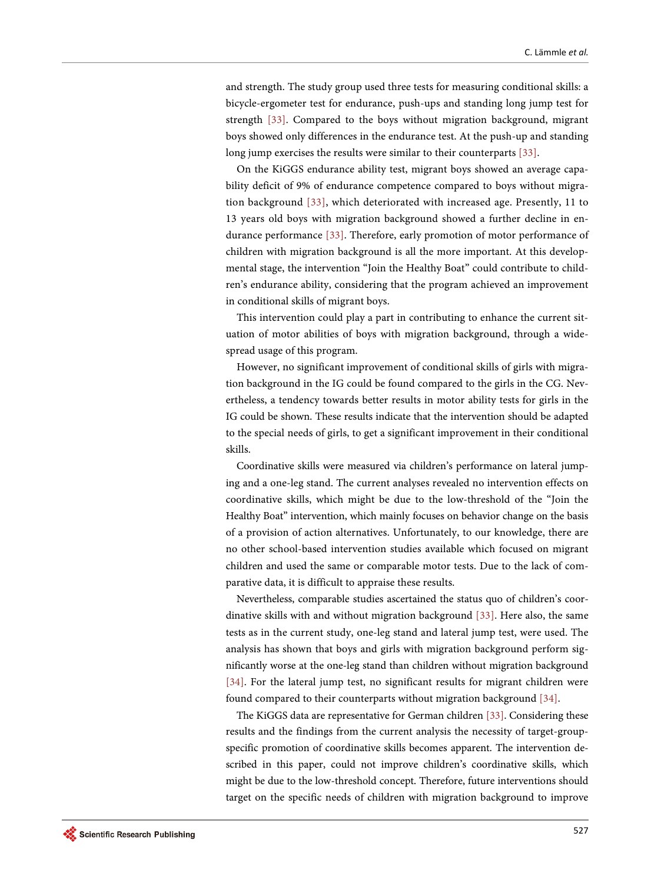and strength. The study group used three tests for measuring conditional skills: a bicycle-ergometer test for endurance, push-ups and standing long jump test for strength [\[33\].](#page-12-6) Compared to the boys without migration background, migrant boys showed only differences in the endurance test. At the push-up and standing long jump exercises the results were similar to their counterparts [\[33\].](#page-12-6) 

On the KiGGS endurance ability test, migrant boys showed an average capability deficit of 9% of endurance competence compared to boys without migration background [\[33\],](#page-12-6) which deteriorated with increased age. Presently, 11 to 13 years old boys with migration background showed a further decline in endurance performance [\[33\].](#page-12-6) Therefore, early promotion of motor performance of children with migration background is all the more important. At this developmental stage, the intervention "Join the Healthy Boat" could contribute to children's endurance ability, considering that the program achieved an improvement in conditional skills of migrant boys.

This intervention could play a part in contributing to enhance the current situation of motor abilities of boys with migration background, through a widespread usage of this program.

However, no significant improvement of conditional skills of girls with migration background in the IG could be found compared to the girls in the CG. Nevertheless, a tendency towards better results in motor ability tests for girls in the IG could be shown. These results indicate that the intervention should be adapted to the special needs of girls, to get a significant improvement in their conditional skills.

Coordinative skills were measured via children's performance on lateral jumping and a one-leg stand. The current analyses revealed no intervention effects on coordinative skills, which might be due to the low-threshold of the "Join the Healthy Boat" intervention, which mainly focuses on behavior change on the basis of a provision of action alternatives. Unfortunately, to our knowledge, there are no other school-based intervention studies available which focused on migrant children and used the same or comparable motor tests. Due to the lack of comparative data, it is difficult to appraise these results.

Nevertheless, comparable studies ascertained the status quo of children's coordinative skills with and without migration background [\[33\].](#page-12-6) Here also, the same tests as in the current study, one-leg stand and lateral jump test, were used. The analysis has shown that boys and girls with migration background perform significantly worse at the one-leg stand than children without migration background [\[34\].](#page-12-7) For the lateral jump test, no significant results for migrant children were found compared to their counterparts without migration background [\[34\].](#page-12-7) 

The KiGGS data are representative for German children [\[33\].](#page-12-6) Considering these results and the findings from the current analysis the necessity of target-groupspecific promotion of coordinative skills becomes apparent. The intervention described in this paper, could not improve children's coordinative skills, which might be due to the low-threshold concept. Therefore, future interventions should target on the specific needs of children with migration background to improve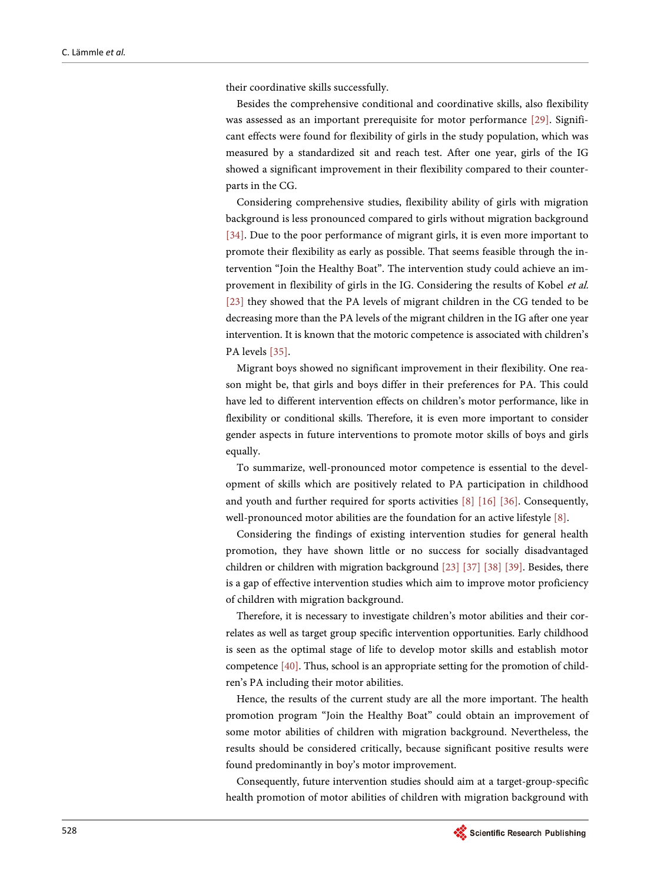their coordinative skills successfully.

Besides the comprehensive conditional and coordinative skills, also flexibility was assessed as an important prerequisite for motor performance [\[29\].](#page-12-2) Significant effects were found for flexibility of girls in the study population, which was measured by a standardized sit and reach test. After one year, girls of the IG showed a significant improvement in their flexibility compared to their counterparts in the CG.

Considering comprehensive studies, flexibility ability of girls with migration background is less pronounced compared to girls without migration background [\[34\].](#page-12-7) Due to the poor performance of migrant girls, it is even more important to promote their flexibility as early as possible. That seems feasible through the intervention "Join the Healthy Boat". The intervention study could achieve an improvement in flexibility of girls in the IG. Considering the results of Kobel et al. [\[23\]](#page-11-10) they showed that the PA levels of migrant children in the CG tended to be decreasing more than the PA levels of the migrant children in the IG after one year intervention. It is known that the motoric competence is associated with children's PA levels [\[35\].](#page-12-8)

Migrant boys showed no significant improvement in their flexibility. One reason might be, that girls and boys differ in their preferences for PA. This could have led to different intervention effects on children's motor performance, like in flexibility or conditional skills. Therefore, it is even more important to consider gender aspects in future interventions to promote motor skills of boys and girls equally.

To summarize, well-pronounced motor competence is essential to the development of skills which are positively related to PA participation in childhood and youth and further required for sports activities [\[8\]](#page-10-7) [\[16\]](#page-11-3) [\[36\].](#page-12-9) Consequently, well-pronounced motor abilities are the foundation for an active lifestyle [\[8\].](#page-10-7)

Considering the findings of existing intervention studies for general health promotion, they have shown little or no success for socially disadvantaged children or children with migration background [\[23\]](#page-11-10) [\[37\]](#page-12-10) [\[38\]](#page-12-11) [\[39\].](#page-13-0) Besides, there is a gap of effective intervention studies which aim to improve motor proficiency of children with migration background.

Therefore, it is necessary to investigate children's motor abilities and their correlates as well as target group specific intervention opportunities. Early childhood is seen as the optimal stage of life to develop motor skills and establish motor competence [\[40\].](#page-13-1) Thus, school is an appropriate setting for the promotion of children's PA including their motor abilities.

Hence, the results of the current study are all the more important. The health promotion program "Join the Healthy Boat" could obtain an improvement of some motor abilities of children with migration background. Nevertheless, the results should be considered critically, because significant positive results were found predominantly in boy's motor improvement.

Consequently, future intervention studies should aim at a target-group-specific health promotion of motor abilities of children with migration background with

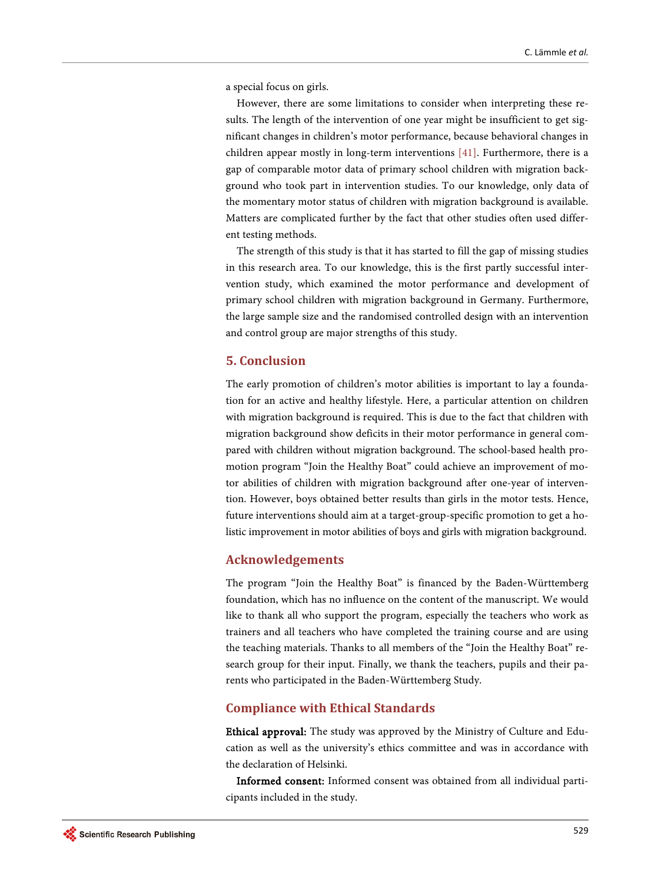a special focus on girls.

However, there are some limitations to consider when interpreting these results. The length of the intervention of one year might be insufficient to get significant changes in children's motor performance, because behavioral changes in children appear mostly in long-term interventions [\[41\].](#page-13-2) Furthermore, there is a gap of comparable motor data of primary school children with migration background who took part in intervention studies. To our knowledge, only data of the momentary motor status of children with migration background is available. Matters are complicated further by the fact that other studies often used different testing methods.

The strength of this study is that it has started to fill the gap of missing studies in this research area. To our knowledge, this is the first partly successful intervention study, which examined the motor performance and development of primary school children with migration background in Germany. Furthermore, the large sample size and the randomised controlled design with an intervention and control group are major strengths of this study.

# **5. Conclusion**

The early promotion of children's motor abilities is important to lay a foundation for an active and healthy lifestyle. Here, a particular attention on children with migration background is required. This is due to the fact that children with migration background show deficits in their motor performance in general compared with children without migration background. The school-based health promotion program "Join the Healthy Boat" could achieve an improvement of motor abilities of children with migration background after one-year of intervention. However, boys obtained better results than girls in the motor tests. Hence, future interventions should aim at a target-group-specific promotion to get a holistic improvement in motor abilities of boys and girls with migration background.

# **Acknowledgements**

The program "Join the Healthy Boat" is financed by the Baden-Württemberg foundation, which has no influence on the content of the manuscript. We would like to thank all who support the program, especially the teachers who work as trainers and all teachers who have completed the training course and are using the teaching materials. Thanks to all members of the "Join the Healthy Boat" research group for their input. Finally, we thank the teachers, pupils and their parents who participated in the Baden-Württemberg Study.

# **Compliance with Ethical Standards**

Ethical approval: The study was approved by the Ministry of Culture and Education as well as the university's ethics committee and was in accordance with the declaration of Helsinki.

Informed consent: Informed consent was obtained from all individual participants included in the study.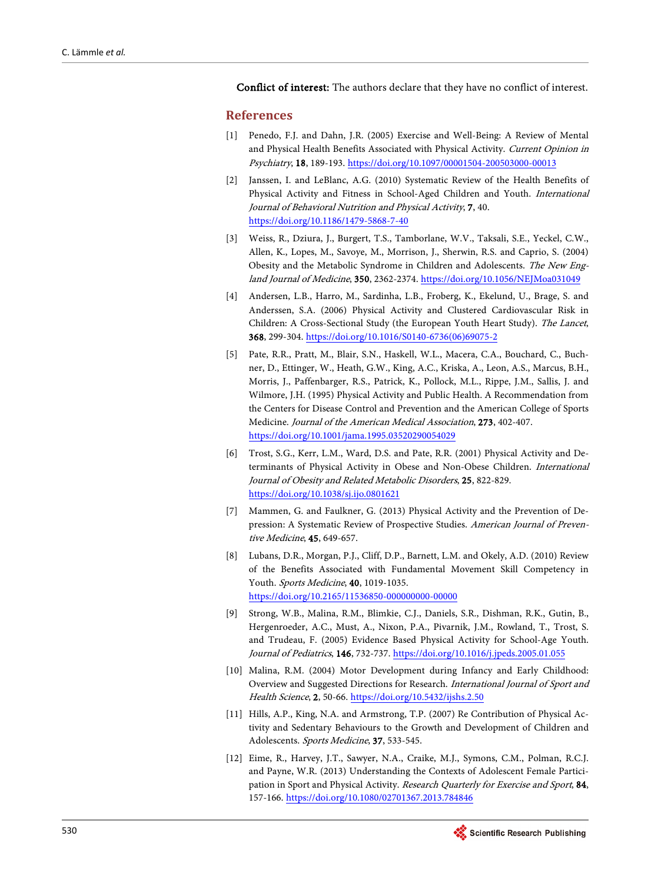Conflict of interest: The authors declare that they have no conflict of interest.

#### <span id="page-10-0"></span>**References**

- [1] Penedo, F.J. and Dahn, J.R. (2005) Exercise and Well-Being: A Review of Mental and Physical Health Benefits Associated with Physical Activity. Current Opinion in Psychiatry, 18, 189-193. <https://doi.org/10.1097/00001504-200503000-00013>
- <span id="page-10-1"></span>[2] Janssen, I. and LeBlanc, A.G. (2010) Systematic Review of the Health Benefits of Physical Activity and Fitness in School-Aged Children and Youth. International Journal of Behavioral Nutrition and Physical Activity, 7, 40. <https://doi.org/10.1186/1479-5868-7-40>
- <span id="page-10-2"></span>[3] Weiss, R., Dziura, J., Burgert, T.S., Tamborlane, W.V., Taksali, S.E., Yeckel, C.W., Allen, K., Lopes, M., Savoye, M., Morrison, J., Sherwin, R.S. and Caprio, S. (2004) Obesity and the Metabolic Syndrome in Children and Adolescents. The New England Journal of Medicine, 350, 2362-2374. <https://doi.org/10.1056/NEJMoa031049>
- <span id="page-10-3"></span>[4] Andersen, L.B., Harro, M., Sardinha, L.B., Froberg, K., Ekelund, U., Brage, S. and Anderssen, S.A. (2006) Physical Activity and Clustered Cardiovascular Risk in Children: A Cross-Sectional Study (the European Youth Heart Study). The Lancet, 368, 299-304. [https://doi.org/10.1016/S0140-6736\(06\)69075-2](https://doi.org/10.1016/S0140-6736(06)69075-2)
- <span id="page-10-4"></span>[5] Pate, R.R., Pratt, M., Blair, S.N., Haskell, W.L., Macera, C.A., Bouchard, C., Buchner, D., Ettinger, W., Heath, G.W., King, A.C., Kriska, A., Leon, A.S., Marcus, B.H., Morris, J., Paffenbarger, R.S., Patrick, K., Pollock, M.L., Rippe, J.M., Sallis, J. and Wilmore, J.H. (1995) Physical Activity and Public Health. A Recommendation from the Centers for Disease Control and Prevention and the American College of Sports Medicine. Journal of the American Medical Association, 273, 402-407. <https://doi.org/10.1001/jama.1995.03520290054029>
- <span id="page-10-5"></span>[6] Trost, S.G., Kerr, L.M., Ward, D.S. and Pate, R.R. (2001) Physical Activity and Determinants of Physical Activity in Obese and Non-Obese Children. International Journal of Obesity and Related Metabolic Disorders, 25, 822-829. <https://doi.org/10.1038/sj.ijo.0801621>
- <span id="page-10-6"></span>[7] Mammen, G. and Faulkner, G. (2013) Physical Activity and the Prevention of Depression: A Systematic Review of Prospective Studies. American Journal of Preventive Medicine, 45, 649-657.
- <span id="page-10-7"></span>[8] Lubans, D.R., Morgan, P.J., Cliff, D.P., Barnett, L.M. and Okely, A.D. (2010) Review of the Benefits Associated with Fundamental Movement Skill Competency in Youth. Sports Medicine, 40, 1019-1035. <https://doi.org/10.2165/11536850-000000000-00000>
- <span id="page-10-8"></span>[9] Strong, W.B., Malina, R.M., Blimkie, C.J., Daniels, S.R., Dishman, R.K., Gutin, B., Hergenroeder, A.C., Must, A., Nixon, P.A., Pivarnik, J.M., Rowland, T., Trost, S. and Trudeau, F. (2005) Evidence Based Physical Activity for School-Age Youth. Journal of Pediatrics, 146, 732-737. <https://doi.org/10.1016/j.jpeds.2005.01.055>
- <span id="page-10-9"></span>[10] Malina, R.M. (2004) Motor Development during Infancy and Early Childhood: Overview and Suggested Directions for Research. International Journal of Sport and Health Science, 2, 50-66. <https://doi.org/10.5432/ijshs.2.50>
- <span id="page-10-10"></span>[11] Hills, A.P., King, N.A. and Armstrong, T.P. (2007) Re Contribution of Physical Activity and Sedentary Behaviours to the Growth and Development of Children and Adolescents. Sports Medicine, 37, 533-545.
- <span id="page-10-11"></span>[12] Eime, R., Harvey, J.T., Sawyer, N.A., Craike, M.J., Symons, C.M., Polman, R.C.J. and Payne, W.R. (2013) Understanding the Contexts of Adolescent Female Participation in Sport and Physical Activity. Research Quarterly for Exercise and Sport, 84, 157-166. <https://doi.org/10.1080/02701367.2013.784846>

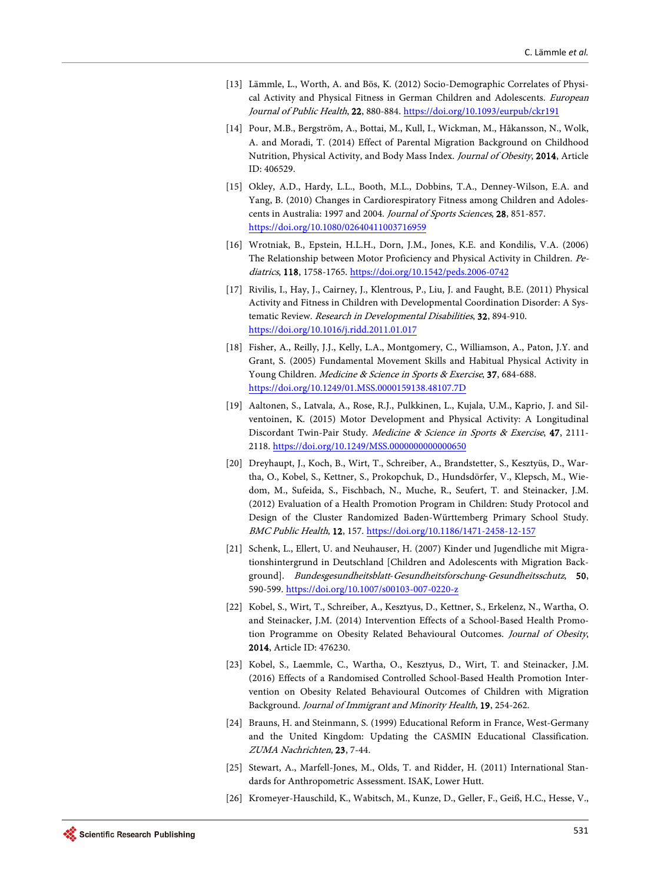- <span id="page-11-0"></span>[13] Lämmle, L., Worth, A. and Bös, K. (2012) Socio-Demographic Correlates of Physical Activity and Physical Fitness in German Children and Adolescents. European Journal of Public Health, 22, 880-884. <https://doi.org/10.1093/eurpub/ckr191>
- <span id="page-11-1"></span>[14] Pour, M.B., Bergström, A., Bottai, M., Kull, I., Wickman, M., Håkansson, N., Wolk, A. and Moradi, T. (2014) Effect of Parental Migration Background on Childhood Nutrition, Physical Activity, and Body Mass Index. Journal of Obesity, 2014, Article ID: 406529.
- <span id="page-11-2"></span>[15] Okley, A.D., Hardy, L.L., Booth, M.L., Dobbins, T.A., Denney-Wilson, E.A. and Yang, B. (2010) Changes in Cardiorespiratory Fitness among Children and Adolescents in Australia: 1997 and 2004. Journal of Sports Sciences, 28, 851-857. <https://doi.org/10.1080/02640411003716959>
- <span id="page-11-3"></span>[16] Wrotniak, B., Epstein, H.L.H., Dorn, J.M., Jones, K.E. and Kondilis, V.A. (2006) The Relationship between Motor Proficiency and Physical Activity in Children. Pediatrics, 118, 1758-1765. <https://doi.org/10.1542/peds.2006-0742>
- <span id="page-11-4"></span>[17] Rivilis, I., Hay, J., Cairney, J., Klentrous, P., Liu, J. and Faught, B.E. (2011) Physical Activity and Fitness in Children with Developmental Coordination Disorder: A Systematic Review. Research in Developmental Disabilities, 32, 894-910. <https://doi.org/10.1016/j.ridd.2011.01.017>
- <span id="page-11-5"></span>[18] Fisher, A., Reilly, J.J., Kelly, L.A., Montgomery, C., Williamson, A., Paton, J.Y. and Grant, S. (2005) Fundamental Movement Skills and Habitual Physical Activity in Young Children. Medicine & Science in Sports & Exercise, 37, 684-688. <https://doi.org/10.1249/01.MSS.0000159138.48107.7D>
- <span id="page-11-6"></span>[19] Aaltonen, S., Latvala, A., Rose, R.J., Pulkkinen, L., Kujala, U.M., Kaprio, J. and Silventoinen, K. (2015) Motor Development and Physical Activity: A Longitudinal Discordant Twin-Pair Study. Medicine & Science in Sports & Exercise, 47, 2111-2118. <https://doi.org/10.1249/MSS.0000000000000650>
- <span id="page-11-7"></span>[20] Dreyhaupt, J., Koch, B., Wirt, T., Schreiber, A., Brandstetter, S., Kesztyüs, D., Wartha, O., Kobel, S., Kettner, S., Prokopchuk, D., Hundsdörfer, V., Klepsch, M., Wiedom, M., Sufeida, S., Fischbach, N., Muche, R., Seufert, T. and Steinacker, J.M. (2012) Evaluation of a Health Promotion Program in Children: Study Protocol and Design of the Cluster Randomized Baden-Württemberg Primary School Study. BMC Public Health, 12, 157. <https://doi.org/10.1186/1471-2458-12-157>
- <span id="page-11-8"></span>[21] Schenk, L., Ellert, U. and Neuhauser, H. (2007) Kinder und Jugendliche mit Migrationshintergrund in Deutschland [Children and Adolescents with Migration Background]. Bundesgesundheitsblatt-Gesundheitsforschung-Gesundheitsschutz, 50, 590-599. <https://doi.org/10.1007/s00103-007-0220-z>
- <span id="page-11-9"></span>[22] Kobel, S., Wirt, T., Schreiber, A., Kesztyus, D., Kettner, S., Erkelenz, N., Wartha, O. and Steinacker, J.M. (2014) Intervention Effects of a School-Based Health Promotion Programme on Obesity Related Behavioural Outcomes. Journal of Obesity, 2014, Article ID: 476230.
- <span id="page-11-10"></span>[23] Kobel, S., Laemmle, C., Wartha, O., Kesztyus, D., Wirt, T. and Steinacker, J.M. (2016) Effects of a Randomised Controlled School-Based Health Promotion Intervention on Obesity Related Behavioural Outcomes of Children with Migration Background. Journal of Immigrant and Minority Health, 19, 254-262.
- <span id="page-11-11"></span>[24] Brauns, H. and Steinmann, S. (1999) Educational Reform in France, West-Germany and the United Kingdom: Updating the CASMIN Educational Classification. ZUMA Nachrichten, 23, 7-44.
- <span id="page-11-12"></span>[25] Stewart, A., Marfell-Jones, M., Olds, T. and Ridder, H. (2011) International Standards for Anthropometric Assessment. ISAK, Lower Hutt.
- <span id="page-11-13"></span>[26] Kromeyer-Hauschild, K., Wabitsch, M., Kunze, D., Geller, F., Geiß, H.C., Hesse, V.,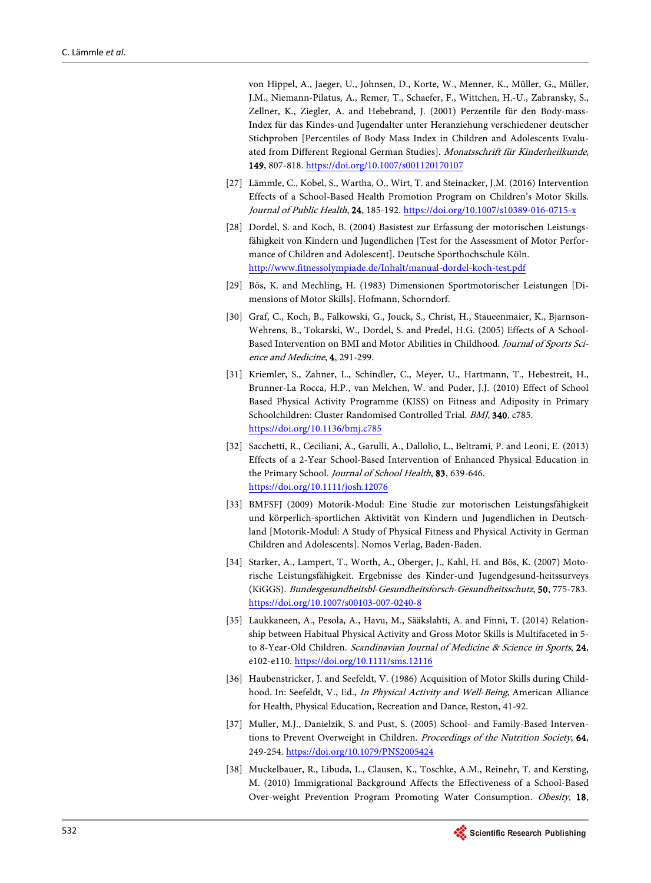von Hippel, A., Jaeger, U., Johnsen, D., Korte, W., Menner, K., Müller, G., Müller, J.M., Niemann-Pilatus, A., Remer, T., Schaefer, F., Wittchen, H.-U., Zabransky, S., Zellner, K., Ziegler, A. and Hebebrand, J. (2001) Perzentile für den Body-mass-Index für das Kindes-und Jugendalter unter Heranziehung verschiedener deutscher Stichproben [Percentiles of Body Mass Index in Children and Adolescents Evaluated from Different Regional German Studies]. Monatsschrift für Kinderheilkunde, 149, 807-818. <https://doi.org/10.1007/s001120170107>

- <span id="page-12-0"></span>[27] Lämmle, C., Kobel, S., Wartha, O., Wirt, T. and Steinacker, J.M. (2016) Intervention Effects of a School-Based Health Promotion Program on Children's Motor Skills. Journal of Public Health, 24, 185-192. <https://doi.org/10.1007/s10389-016-0715-x>
- <span id="page-12-1"></span>[28] Dordel, S. and Koch, B. (2004) Basistest zur Erfassung der motorischen Leistungsfähigkeit von Kindern und Jugendlichen [Test for the Assessment of Motor Performance of Children and Adolescent]. Deutsche Sporthochschule Köln. <http://www.fitnessolympiade.de/Inhalt/manual-dordel-koch-test.pdf>
- <span id="page-12-2"></span>[29] Bös, K. and Mechling, H. (1983) Dimensionen Sportmotorischer Leistungen [Dimensions of Motor Skills]. Hofmann, Schorndorf.
- <span id="page-12-3"></span>[30] Graf, C., Koch, B., Falkowski, G., Jouck, S., Christ, H., Staueenmaier, K., Bjarnson-Wehrens, B., Tokarski, W., Dordel, S. and Predel, H.G. (2005) Effects of A School-Based Intervention on BMI and Motor Abilities in Childhood. Journal of Sports Science and Medicine, 4, 291-299.
- <span id="page-12-4"></span>[31] Kriemler, S., Zahner, L., Schindler, C., Meyer, U., Hartmann, T., Hebestreit, H., Brunner-La Rocca, H.P., van Melchen, W. and Puder, J.J. (2010) Effect of School Based Physical Activity Programme (KISS) on Fitness and Adiposity in Primary Schoolchildren: Cluster Randomised Controlled Trial. BMJ, 340, c785. <https://doi.org/10.1136/bmj.c785>
- <span id="page-12-5"></span>[32] Sacchetti, R., Ceciliani, A., Garulli, A., Dallolio, L., Beltrami, P. and Leoni, E. (2013) Effects of a 2-Year School-Based Intervention of Enhanced Physical Education in the Primary School. Journal of School Health, 83, 639-646. <https://doi.org/10.1111/josh.12076>
- <span id="page-12-6"></span>[33] BMFSFJ (2009) Motorik-Modul: Eine Studie zur motorischen Leistungsfähigkeit und körperlich-sportlichen Aktivität von Kindern und Jugendlichen in Deutschland [Motorik-Modul: A Study of Physical Fitness and Physical Activity in German Children and Adolescents]. Nomos Verlag, Baden-Baden.
- <span id="page-12-7"></span>[34] Starker, A., Lampert, T., Worth, A., Oberger, J., Kahl, H. and Bös, K. (2007) Motorische Leistungsfähigkeit. Ergebnisse des Kinder-und Jugendgesund-heitssurveys (KiGGS). Bundesgesundheitsbl-Gesundheitsforsch-Gesundheitsschutz, 50, 775-783. <https://doi.org/10.1007/s00103-007-0240-8>
- <span id="page-12-8"></span>[35] Laukkaneen, A., Pesola, A., Havu, M., Sääkslahti, A. and Finni, T. (2014) Relationship between Habitual Physical Activity and Gross Motor Skills is Multifaceted in 5 to 8-Year-Old Children. *Scandinavian Journal of Medicine & Science in Sports*, 24, e102-e110. <https://doi.org/10.1111/sms.12116>
- <span id="page-12-9"></span>[36] Haubenstricker, J. and Seefeldt, V. (1986) Acquisition of Motor Skills during Childhood. In: Seefeldt, V., Ed., In Physical Activity and Well-Being, American Alliance for Health, Physical Education, Recreation and Dance, Reston, 41-92.
- <span id="page-12-10"></span>[37] Muller, M.J., Danielzik, S. and Pust, S. (2005) School- and Family-Based Interventions to Prevent Overweight in Children. Proceedings of the Nutrition Society, 64, 249-254. <https://doi.org/10.1079/PNS2005424>
- <span id="page-12-11"></span>[38] Muckelbauer, R., Libuda, L., Clausen, K., Toschke, A.M., Reinehr, T. and Kersting, M. (2010) Immigrational Background Affects the Effectiveness of a School-Based Over-weight Prevention Program Promoting Water Consumption. Obesity, 18,